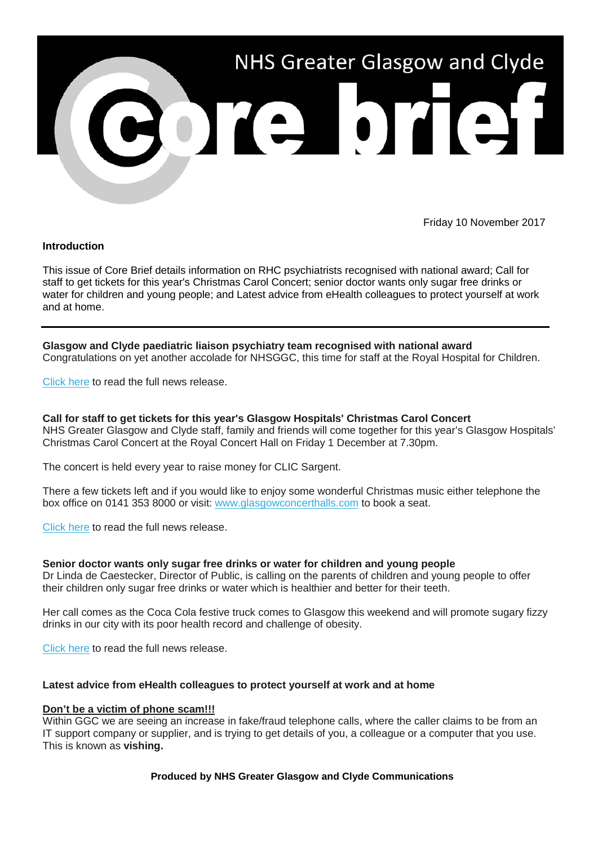

Friday 10 November 2017

### **Introduction**

This issue of Core Brief details information on RHC psychiatrists recognised with national award; Call for staff to get tickets for this year's Christmas Carol Concert; senior doctor wants only sugar free drinks or water for children and young people; and Latest advice from eHealth colleagues to protect yourself at work and at home.

**Glasgow and Clyde paediatric liaison psychiatry team recognised with national award** Congratulations on yet another accolade for NHSGGC, this time for staff at the Royal Hospital for Children.

Click here to read the full news release.

**Call for staff to get tickets for this year's Glasgow Hospitals' Christmas Carol Concert** NHS Greater Glasgow and Clyde staff, family and friends will come together for this year's Glasgow Hospitals' Christmas Carol Concert at the Royal Concert Hall on Friday 1 December at 7.30pm.

The concert is held every year to raise money for CLIC Sargent.

There a few tickets left and if you would like to enjoy some wonderful Christmas music either telephone the box office on 0141 353 8000 or visit: www.glasgowconcerthalls.com to book a seat.

Click here to read the full news release.

#### **Senior doctor wants only sugar free drinks or water for children and young people**

Dr Linda de Caestecker, Director of Public, is calling on the parents of children and young people to offer their children only sugar free drinks or water which is healthier and better for their teeth.

Her call comes as the Coca Cola festive truck comes to Glasgow this weekend and will promote sugary fizzy drinks in our city with its poor health record and challenge of obesity.

Click here to read the full news release.

## **Latest advice from eHealth colleagues to protect yourself at work and at home**

#### **Don't be a victim of phone scam!!!**

Within GGC we are seeing an increase in fake/fraud telephone calls, where the caller claims to be from an IT support company or supplier, and is trying to get details of you, a colleague or a computer that you use. This is known as **vishing.**

## **Produced by NHS Greater Glasgow and Clyde Communications**